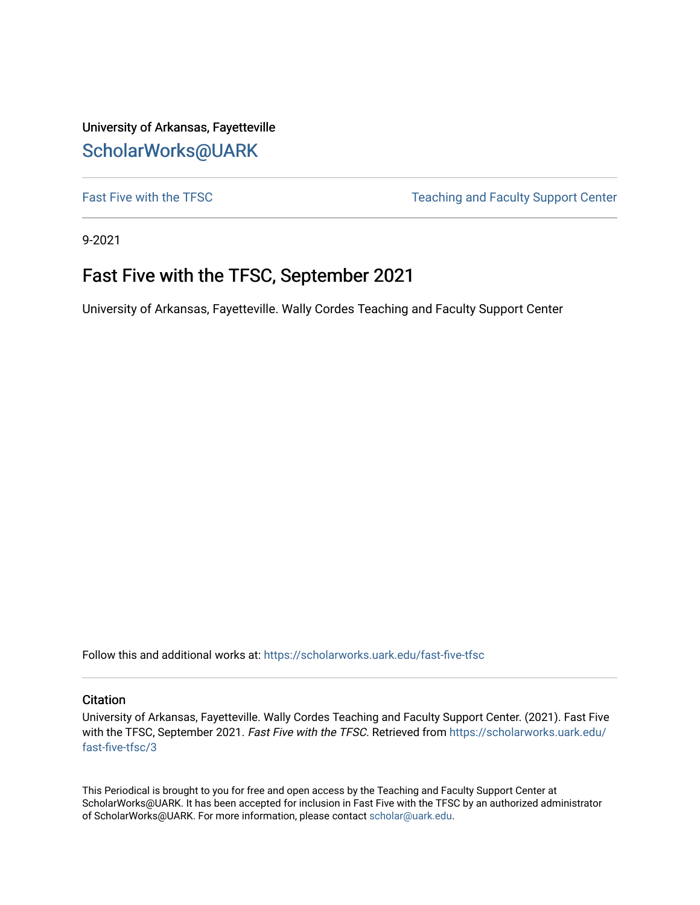University of Arkansas, Fayetteville [ScholarWorks@UARK](https://scholarworks.uark.edu/) 

[Fast Five with the TFSC](https://scholarworks.uark.edu/fast-five-tfsc) Teaching and Faculty Support Center

9-2021

# Fast Five with the TFSC, September 2021

University of Arkansas, Fayetteville. Wally Cordes Teaching and Faculty Support Center

Follow this and additional works at: [https://scholarworks.uark.edu/fast-five-tfsc](https://scholarworks.uark.edu/fast-five-tfsc?utm_source=scholarworks.uark.edu%2Ffast-five-tfsc%2F3&utm_medium=PDF&utm_campaign=PDFCoverPages) 

# **Citation**

University of Arkansas, Fayetteville. Wally Cordes Teaching and Faculty Support Center. (2021). Fast Five with the TFSC, September 2021. Fast Five with the TFSC. Retrieved from [https://scholarworks.uark.edu/](https://scholarworks.uark.edu/fast-five-tfsc/3?utm_source=scholarworks.uark.edu%2Ffast-five-tfsc%2F3&utm_medium=PDF&utm_campaign=PDFCoverPages) [fast-five-tfsc/3](https://scholarworks.uark.edu/fast-five-tfsc/3?utm_source=scholarworks.uark.edu%2Ffast-five-tfsc%2F3&utm_medium=PDF&utm_campaign=PDFCoverPages)

This Periodical is brought to you for free and open access by the Teaching and Faculty Support Center at ScholarWorks@UARK. It has been accepted for inclusion in Fast Five with the TFSC by an authorized administrator of ScholarWorks@UARK. For more information, please contact [scholar@uark.edu.](mailto:scholar@uark.edu)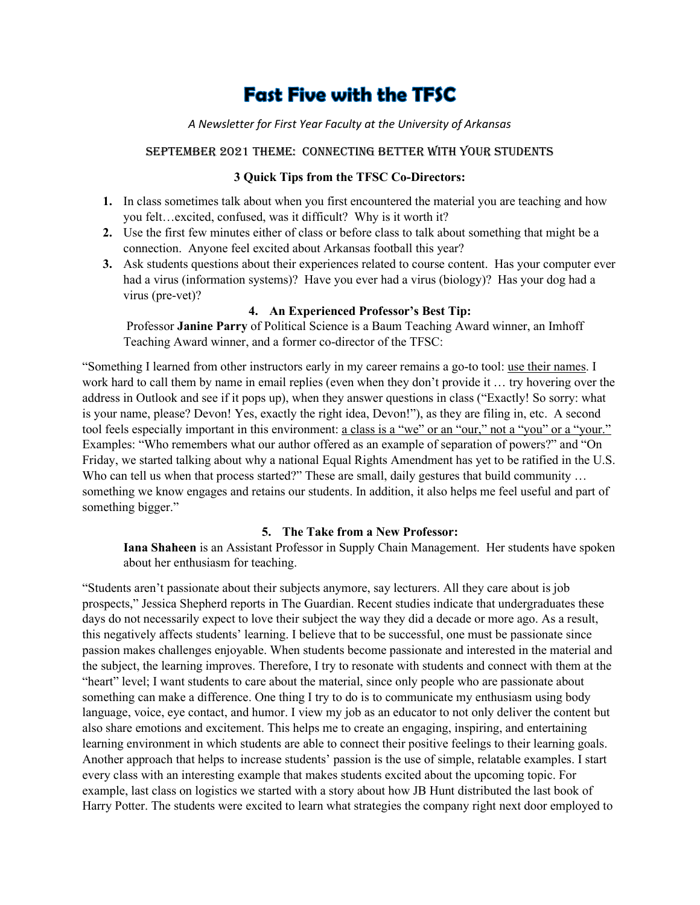# **Fast Five with the TFSC**

#### *A Newsletter for First Year Faculty at the University of Arkansas*

#### September 2021 Theme: Connecting Better with Your Students

# **3 Quick Tips from the TFSC Co-Directors:**

- **1.** In class sometimes talk about when you first encountered the material you are teaching and how you felt…excited, confused, was it difficult? Why is it worth it?
- **2.** Use the first few minutes either of class or before class to talk about something that might be a connection. Anyone feel excited about Arkansas football this year?
- **3.** Ask students questions about their experiences related to course content. Has your computer ever had a virus (information systems)? Have you ever had a virus (biology)? Has your dog had a virus (pre-vet)?

# **4. An Experienced Professor's Best Tip:**

Professor **Janine Parry** of Political Science is a Baum Teaching Award winner, an Imhoff Teaching Award winner, and a former co-director of the TFSC:

"Something I learned from other instructors early in my career remains a go-to tool: use their names. I work hard to call them by name in email replies (even when they don't provide it … try hovering over the address in Outlook and see if it pops up), when they answer questions in class ("Exactly! So sorry: what is your name, please? Devon! Yes, exactly the right idea, Devon!"), as they are filing in, etc. A second tool feels especially important in this environment: a class is a "we" or an "our," not a "you" or a "your." Examples: "Who remembers what our author offered as an example of separation of powers?" and "On Friday, we started talking about why a national Equal Rights Amendment has yet to be ratified in the U.S. Who can tell us when that process started?" These are small, daily gestures that build community ... something we know engages and retains our students. In addition, it also helps me feel useful and part of something bigger."

#### **5. The Take from a New Professor:**

**Iana Shaheen** is an Assistant Professor in Supply Chain Management. Her students have spoken about her enthusiasm for teaching.

"Students aren't passionate about their subjects anymore, say lecturers. All they care about is job prospects," Jessica Shepherd reports in The Guardian. Recent studies indicate that undergraduates these days do not necessarily expect to love their subject the way they did a decade or more ago. As a result, this negatively affects students' learning. I believe that to be successful, one must be passionate since passion makes challenges enjoyable. When students become passionate and interested in the material and the subject, the learning improves. Therefore, I try to resonate with students and connect with them at the "heart" level; I want students to care about the material, since only people who are passionate about something can make a difference. One thing I try to do is to communicate my enthusiasm using body language, voice, eye contact, and humor. I view my job as an educator to not only deliver the content but also share emotions and excitement. This helps me to create an engaging, inspiring, and entertaining learning environment in which students are able to connect their positive feelings to their learning goals. Another approach that helps to increase students' passion is the use of simple, relatable examples. I start every class with an interesting example that makes students excited about the upcoming topic. For example, last class on logistics we started with a story about how JB Hunt distributed the last book of Harry Potter. The students were excited to learn what strategies the company right next door employed to